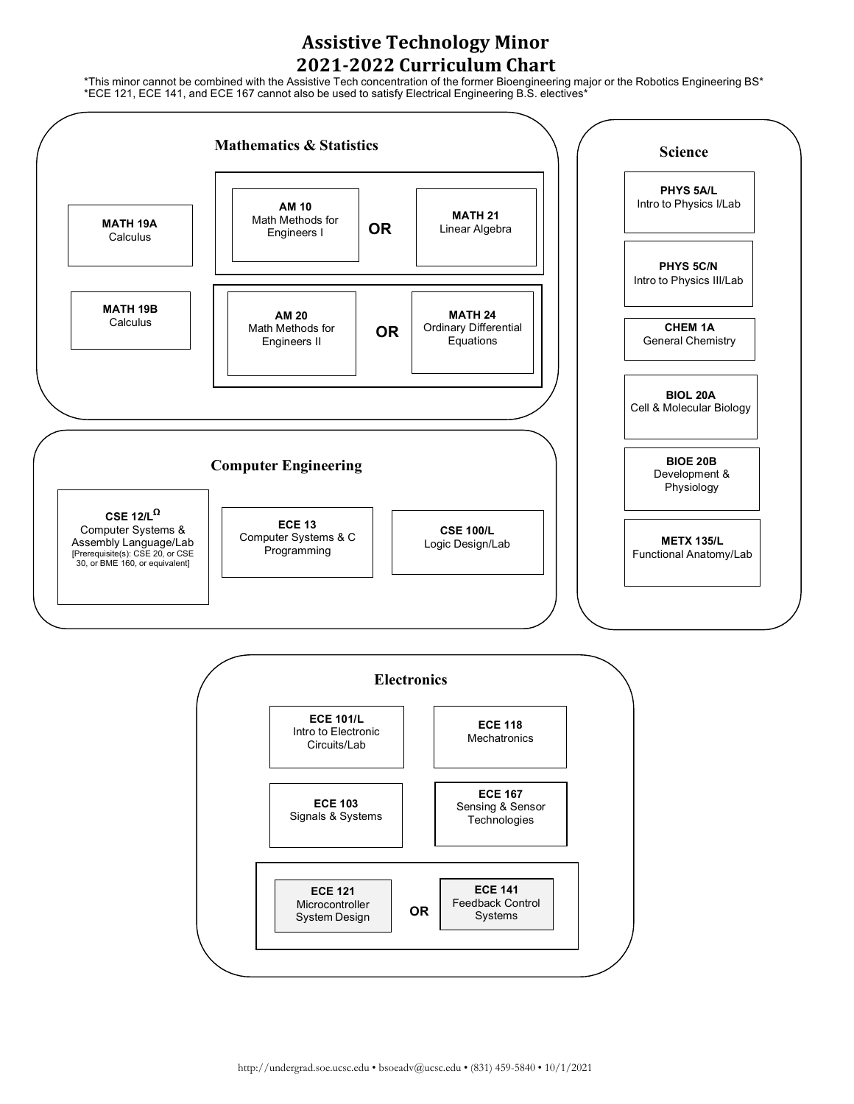## **Assistive Technology Minor 2021-2022 Curriculum Chart**

\*This minor cannot be combined with the Assistive Tech concentration of the former Bioengineering major or the Robotics Engineering BS\* \*ECE 121, ECE 141, and ECE 167 cannot also be used to satisfy Electrical Engineering B.S. electives\*